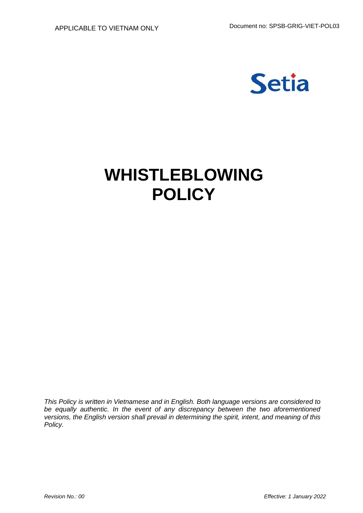

# **WHISTLEBLOWING POLICY**

*This Policy is written in Vietnamese and in English. Both language versions are considered to be equally authentic. In the event of any discrepancy between the two aforementioned versions, the English version shall prevail in determining the spirit, intent, and meaning of this Policy.*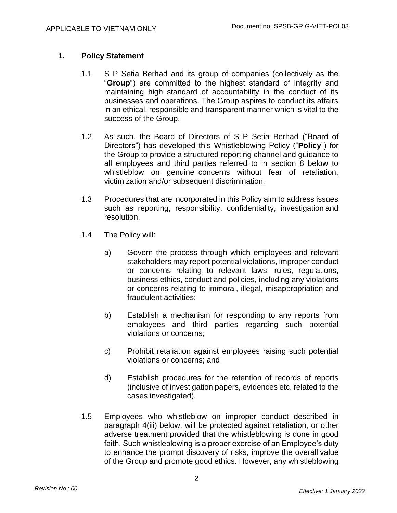# **1. Policy Statement**

- 1.1 S P Setia Berhad and its group of companies (collectively as the "**Group**") are committed to the highest standard of integrity and maintaining high standard of accountability in the conduct of its businesses and operations. The Group aspires to conduct its affairs in an ethical, responsible and transparent manner which is vital to the success of the Group.
- 1.2 As such, the Board of Directors of S P Setia Berhad ("Board of Directors") has developed this Whistleblowing Policy ("**Policy**") for the Group to provide a structured reporting channel and guidance to all employees and third parties referred to in section 8 below to whistleblow on genuine concerns without fear of retaliation, victimization and/or subsequent discrimination.
- 1.3 Procedures that are incorporated in this Policy aim to address issues such as reporting, responsibility, confidentiality, investigation and resolution.
- 1.4 The Policy will:
	- a) Govern the process through which employees and relevant stakeholders may report potential violations, improper conduct or concerns relating to relevant laws, rules, regulations, business ethics, conduct and policies, including any violations or concerns relating to immoral, illegal, misappropriation and fraudulent activities;
	- b) Establish a mechanism for responding to any reports from employees and third parties regarding such potential violations or concerns;
	- c) Prohibit retaliation against employees raising such potential violations or concerns; and
	- d) Establish procedures for the retention of records of reports (inclusive of investigation papers, evidences etc. related to the cases investigated).
- 1.5 Employees who whistleblow on improper conduct described in paragraph 4(iii) below, will be protected against retaliation, or other adverse treatment provided that the whistleblowing is done in good faith. Such whistleblowing is a proper exercise of an Employee's duty to enhance the prompt discovery of risks, improve the overall value of the Group and promote good ethics. However, any whistleblowing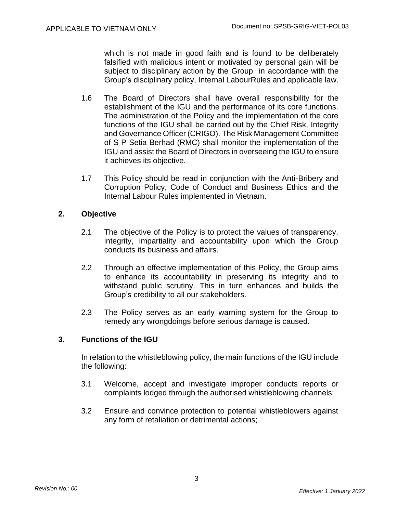which is not made in good faith and is found to be deliberately falsified with malicious intent or motivated by personal gain will be subject to disciplinary action by the Group in accordance with the Group's disciplinary policy, Internal LabourRules and applicable law.

- 1.6 The Board of Directors shall have overall responsibility for the establishment of the IGU and the performance of its core functions. The administration of the Policy and the implementation of the core functions of the IGU shall be carried out by the Chief Risk, Integrity and Governance Officer (CRIGO). The Risk Management Committee of S P Setia Berhad (RMC) shall monitor the implementation of the IGU and assist the Board of Directors in overseeing the IGU to ensure it achieves its objective.
- 1.7 This Policy should be read in conjunction with the Anti-Bribery and Corruption Policy, Code of Conduct and Business Ethics and the Internal Labour Rules implemented in Vietnam.

# **2. Objective**

- 2.1 The objective of the Policy is to protect the values of transparency, integrity, impartiality and accountability upon which the Group conducts its business and affairs.
- 2.2 Through an effective implementation of this Policy, the Group aims to enhance its accountability in preserving its integrity and to withstand public scrutiny. This in turn enhances and builds the Group's credibility to all our stakeholders.
- 2.3 The Policy serves as an early warning system for the Group to remedy any wrongdoings before serious damage is caused.

# **3. Functions of the IGU**

In relation to the whistleblowing policy, the main functions of the IGU include the following:

- 3.1 Welcome, accept and investigate improper conducts reports or complaints lodged through the authorised whistleblowing channels;
- 3.2 Ensure and convince protection to potential whistleblowers against any form of retaliation or detrimental actions;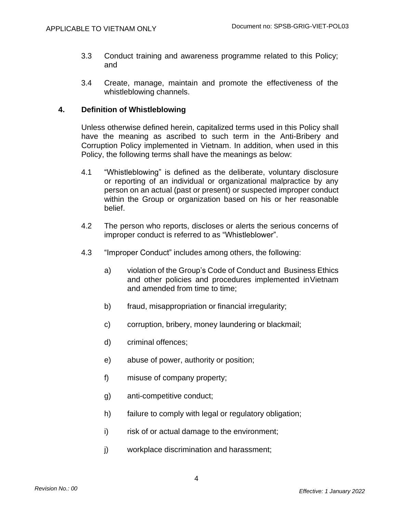- 3.3 Conduct training and awareness programme related to this Policy; and
- 3.4 Create, manage, maintain and promote the effectiveness of the whistleblowing channels.

# **4. Definition of Whistleblowing**

Unless otherwise defined herein, capitalized terms used in this Policy shall have the meaning as ascribed to such term in the Anti-Bribery and Corruption Policy implemented in Vietnam. In addition, when used in this Policy, the following terms shall have the meanings as below:

- 4.1 "Whistleblowing" is defined as the deliberate, voluntary disclosure or reporting of an individual or organizational malpractice by any person on an actual (past or present) or suspected improper conduct within the Group or organization based on his or her reasonable belief.
- 4.2 The person who reports, discloses or alerts the serious concerns of improper conduct is referred to as "Whistleblower".
- 4.3 "Improper Conduct" includes among others, the following:
	- a) violation of the Group's Code of Conduct and Business Ethics and other policies and procedures implemented inVietnam and amended from time to time;
	- b) fraud, misappropriation or financial irregularity;
	- c) corruption, bribery, money laundering or blackmail;
	- d) criminal offences;
	- e) abuse of power, authority or position;
	- f) misuse of company property;
	- g) anti-competitive conduct;
	- h) failure to comply with legal or regulatory obligation;
	- i) risk of or actual damage to the environment;
	- j) workplace discrimination and harassment;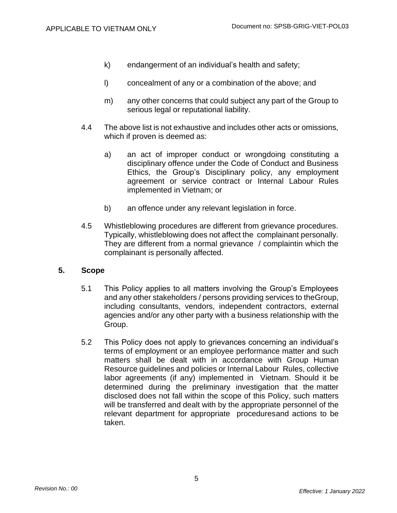- k) endangerment of an individual's health and safety;
- l) concealment of any or a combination of the above; and
- m) any other concerns that could subject any part of the Group to serious legal or reputational liability.
- 4.4 The above list is not exhaustive and includes other acts or omissions, which if proven is deemed as:
	- a) an act of improper conduct or wrongdoing constituting a disciplinary offence under the Code of Conduct and Business Ethics, the Group's Disciplinary policy, any employment agreement or service contract or Internal Labour Rules implemented in Vietnam; or
	- b) an offence under any relevant legislation in force.
- 4.5 Whistleblowing procedures are different from grievance procedures. Typically, whistleblowing does not affect the complainant personally. They are different from a normal grievance / complaintin which the complainant is personally affected.

#### **5. Scope**

- 5.1 This Policy applies to all matters involving the Group's Employees and any other stakeholders / persons providing services to theGroup, including consultants, vendors, independent contractors, external agencies and/or any other party with a business relationship with the Group.
- 5.2 This Policy does not apply to grievances concerning an individual's terms of employment or an employee performance matter and such matters shall be dealt with in accordance with Group Human Resource guidelines and policies or Internal Labour Rules, collective labor agreements (if any) implemented in Vietnam. Should it be determined during the preliminary investigation that the matter disclosed does not fall within the scope of this Policy, such matters will be transferred and dealt with by the appropriate personnel of the relevant department for appropriate proceduresand actions to be taken.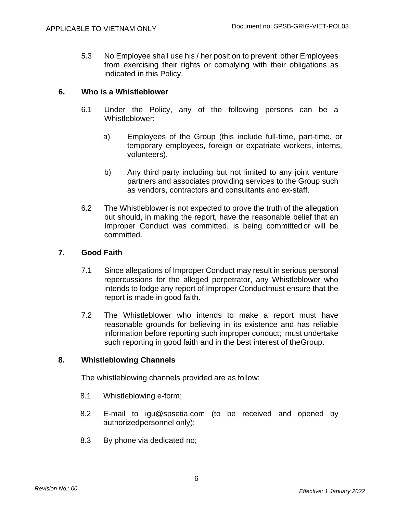5.3 No Employee shall use his / her position to prevent other Employees from exercising their rights or complying with their obligations as indicated in this Policy.

# **6. Who is a Whistleblower**

- 6.1 Under the Policy, any of the following persons can be a Whistleblower:
	- a) Employees of the Group (this include full-time, part-time, or temporary employees, foreign or expatriate workers, interns, volunteers).
	- b) Any third party including but not limited to any joint venture partners and associates providing services to the Group such as vendors, contractors and consultants and ex-staff.
- 6.2 The Whistleblower is not expected to prove the truth of the allegation but should, in making the report, have the reasonable belief that an Improper Conduct was committed, is being committed or will be committed.

### **7. Good Faith**

- 7.1 Since allegations of Improper Conduct may result in serious personal repercussions for the alleged perpetrator, any Whistleblower who intends to lodge any report of Improper Conductmust ensure that the report is made in good faith.
- 7.2 The Whistleblower who intends to make a report must have reasonable grounds for believing in its existence and has reliable information before reporting such improper conduct; must undertake such reporting in good faith and in the best interest of theGroup.

# **8. Whistleblowing Channels**

The whistleblowing channels provided are as follow:

- 8.1 Whistleblowing e-form;
- 8.2 E-mail to [igu@spsetia.com](mailto:igu@spsetia.com) (to be received and opened by authorizedpersonnel only);
- 8.3 By phone via dedicated no;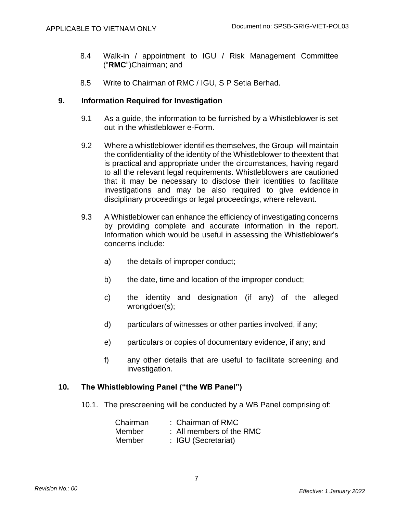- 8.4 Walk-in / appointment to IGU / Risk Management Committee ("**RMC**")Chairman; and
- 8.5 Write to Chairman of RMC / IGU, S P Setia Berhad.

# **9. Information Required for Investigation**

- 9.1 As a guide, the information to be furnished by a Whistleblower is set out in the whistleblower e-Form.
- 9.2 Where a whistleblower identifies themselves, the Group will maintain the confidentiality of the identity of the Whistleblower to theextent that is practical and appropriate under the circumstances, having regard to all the relevant legal requirements. Whistleblowers are cautioned that it may be necessary to disclose their identities to facilitate investigations and may be also required to give evidence in disciplinary proceedings or legal proceedings, where relevant.
- 9.3 A Whistleblower can enhance the efficiency of investigating concerns by providing complete and accurate information in the report. Information which would be useful in assessing the Whistleblower's concerns include:
	- a) the details of improper conduct;
	- b) the date, time and location of the improper conduct;
	- c) the identity and designation (if any) of the alleged wrongdoer(s);
	- d) particulars of witnesses or other parties involved, if any;
	- e) particulars or copies of documentary evidence, if any; and
	- f) any other details that are useful to facilitate screening and investigation.

#### **10. The Whistleblowing Panel ("the WB Panel")**

10.1. The prescreening will be conducted by a WB Panel comprising of:

| Chairman | : Chairman of RMC        |
|----------|--------------------------|
| Member   | : All members of the RMC |
| Member   | : IGU (Secretariat)      |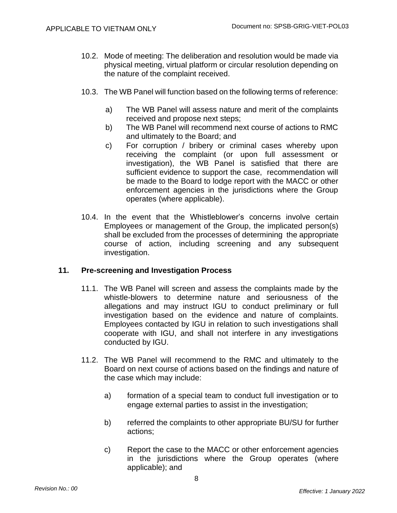- 10.2. Mode of meeting: The deliberation and resolution would be made via physical meeting, virtual platform or circular resolution depending on the nature of the complaint received.
- 10.3. The WB Panel will function based on the following terms of reference:
	- a) The WB Panel will assess nature and merit of the complaints received and propose next steps;
	- b) The WB Panel will recommend next course of actions to RMC and ultimately to the Board; and
	- c) For corruption / bribery or criminal cases whereby upon receiving the complaint (or upon full assessment or investigation), the WB Panel is satisfied that there are sufficient evidence to support the case, recommendation will be made to the Board to lodge report with the MACC or other enforcement agencies in the jurisdictions where the Group operates (where applicable).
- 10.4. In the event that the Whistleblower's concerns involve certain Employees or management of the Group, the implicated person(s) shall be excluded from the processes of determining the appropriate course of action, including screening and any subsequent investigation.

# **11. Pre-screening and Investigation Process**

- 11.1. The WB Panel will screen and assess the complaints made by the whistle-blowers to determine nature and seriousness of the allegations and may instruct IGU to conduct preliminary or full investigation based on the evidence and nature of complaints. Employees contacted by IGU in relation to such investigations shall cooperate with IGU, and shall not interfere in any investigations conducted by IGU.
- 11.2. The WB Panel will recommend to the RMC and ultimately to the Board on next course of actions based on the findings and nature of the case which may include:
	- a) formation of a special team to conduct full investigation or to engage external parties to assist in the investigation;
	- b) referred the complaints to other appropriate BU/SU for further actions;
	- c) Report the case to the MACC or other enforcement agencies in the jurisdictions where the Group operates (where applicable); and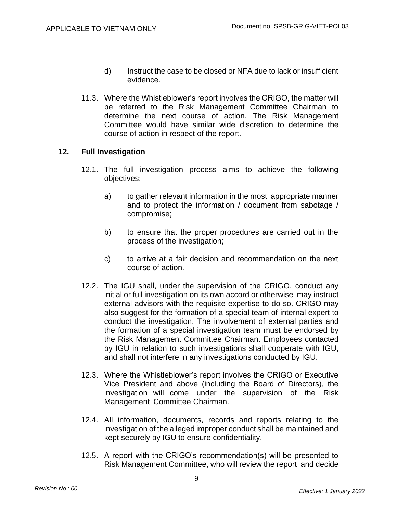- d) Instruct the case to be closed or NFA due to lack or insufficient evidence.
- 11.3. Where the Whistleblower's report involves the CRIGO, the matter will be referred to the Risk Management Committee Chairman to determine the next course of action. The Risk Management Committee would have similar wide discretion to determine the course of action in respect of the report.

# **12. Full Investigation**

- 12.1. The full investigation process aims to achieve the following objectives:
	- a) to gather relevant information in the most appropriate manner and to protect the information / document from sabotage / compromise;
	- b) to ensure that the proper procedures are carried out in the process of the investigation;
	- c) to arrive at a fair decision and recommendation on the next course of action.
- 12.2. The IGU shall, under the supervision of the CRIGO, conduct any initial or full investigation on its own accord or otherwise may instruct external advisors with the requisite expertise to do so. CRIGO may also suggest for the formation of a special team of internal expert to conduct the investigation. The involvement of external parties and the formation of a special investigation team must be endorsed by the Risk Management Committee Chairman. Employees contacted by IGU in relation to such investigations shall cooperate with IGU, and shall not interfere in any investigations conducted by IGU.
- 12.3. Where the Whistleblower's report involves the CRIGO or Executive Vice President and above (including the Board of Directors), the investigation will come under the supervision of the Risk Management Committee Chairman.
- 12.4. All information, documents, records and reports relating to the investigation of the alleged improper conduct shall be maintained and kept securely by IGU to ensure confidentiality.
- 12.5. A report with the CRIGO's recommendation(s) will be presented to Risk Management Committee, who will review the report and decide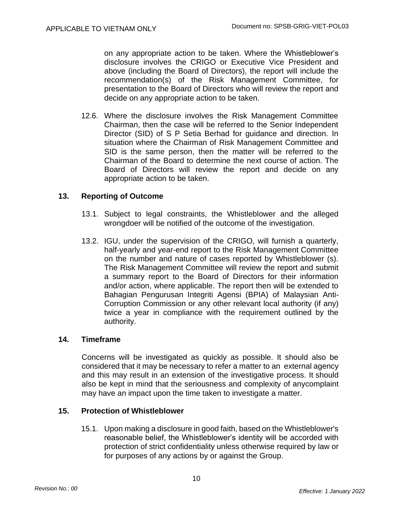on any appropriate action to be taken. Where the Whistleblower's disclosure involves the CRIGO or Executive Vice President and above (including the Board of Directors), the report will include the recommendation(s) of the Risk Management Committee, for presentation to the Board of Directors who will review the report and decide on any appropriate action to be taken.

12.6. Where the disclosure involves the Risk Management Committee Chairman, then the case will be referred to the Senior Independent Director (SID) of S P Setia Berhad for guidance and direction. In situation where the Chairman of Risk Management Committee and SID is the same person, then the matter will be referred to the Chairman of the Board to determine the next course of action. The Board of Directors will review the report and decide on any appropriate action to be taken.

# **13. Reporting of Outcome**

- 13.1. Subject to legal constraints, the Whistleblower and the alleged wrongdoer will be notified of the outcome of the investigation.
- 13.2. IGU, under the supervision of the CRIGO, will furnish a quarterly, half-yearly and year-end report to the Risk Management Committee on the number and nature of cases reported by Whistleblower (s). The Risk Management Committee will review the report and submit a summary report to the Board of Directors for their information and/or action, where applicable. The report then will be extended to Bahagian Pengurusan Integriti Agensi (BPIA) of Malaysian Anti-Corruption Commission or any other relevant local authority (if any) twice a year in compliance with the requirement outlined by the authority.

# **14. Timeframe**

Concerns will be investigated as quickly as possible. It should also be considered that it may be necessary to refer a matter to an external agency and this may result in an extension of the investigative process. It should also be kept in mind that the seriousness and complexity of anycomplaint may have an impact upon the time taken to investigate a matter.

# **15. Protection of Whistleblower**

15.1. Upon making a disclosure in good faith, based on the Whistleblower's reasonable belief, the Whistleblower's identity will be accorded with protection of strict confidentiality unless otherwise required by law or for purposes of any actions by or against the Group.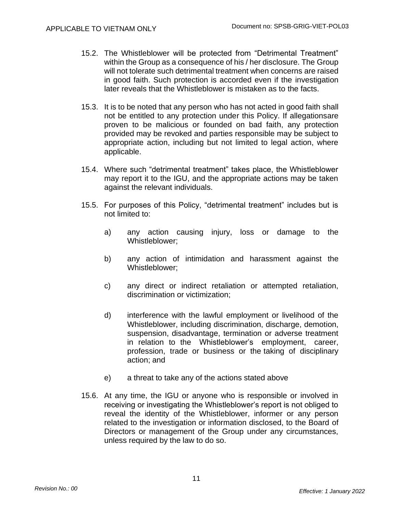- 15.2. The Whistleblower will be protected from "Detrimental Treatment" within the Group as a consequence of his / her disclosure. The Group will not tolerate such detrimental treatment when concerns are raised in good faith. Such protection is accorded even if the investigation later reveals that the Whistleblower is mistaken as to the facts.
- 15.3. It is to be noted that any person who has not acted in good faith shall not be entitled to any protection under this Policy. If allegationsare proven to be malicious or founded on bad faith, any protection provided may be revoked and parties responsible may be subject to appropriate action, including but not limited to legal action, where applicable.
- 15.4. Where such "detrimental treatment" takes place, the Whistleblower may report it to the IGU, and the appropriate actions may be taken against the relevant individuals.
- 15.5. For purposes of this Policy, "detrimental treatment" includes but is not limited to:
	- a) any action causing injury, loss or damage to the Whistleblower;
	- b) any action of intimidation and harassment against the Whistleblower;
	- c) any direct or indirect retaliation or attempted retaliation, discrimination or victimization;
	- d) interference with the lawful employment or livelihood of the Whistleblower, including discrimination, discharge, demotion, suspension, disadvantage, termination or adverse treatment in relation to the Whistleblower's employment, career, profession, trade or business or the taking of disciplinary action; and
	- e) a threat to take any of the actions stated above
- 15.6. At any time, the IGU or anyone who is responsible or involved in receiving or investigating the Whistleblower's report is not obliged to reveal the identity of the Whistleblower, informer or any person related to the investigation or information disclosed, to the Board of Directors or management of the Group under any circumstances, unless required by the law to do so.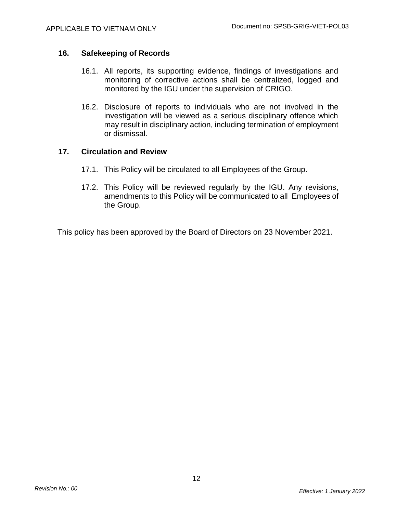# **16. Safekeeping of Records**

- 16.1. All reports, its supporting evidence, findings of investigations and monitoring of corrective actions shall be centralized, logged and monitored by the IGU under the supervision of CRIGO.
- 16.2. Disclosure of reports to individuals who are not involved in the investigation will be viewed as a serious disciplinary offence which may result in disciplinary action, including termination of employment or dismissal.

### **17. Circulation and Review**

- 17.1. This Policy will be circulated to all Employees of the Group.
- 17.2. This Policy will be reviewed regularly by the IGU. Any revisions, amendments to this Policy will be communicated to all Employees of the Group.

This policy has been approved by the Board of Directors on 23 November 2021.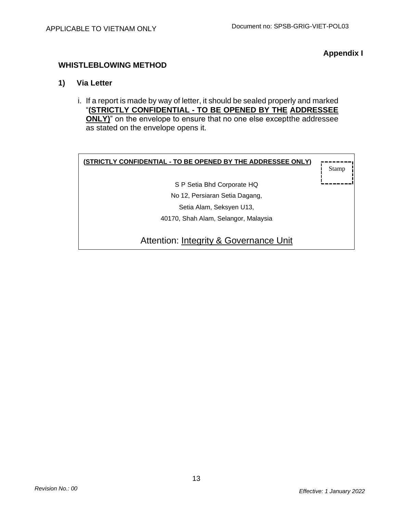**Appendix I**

# **WHISTLEBLOWING METHOD**

# **1) Via Letter**

i. If a report is made by way of letter, it should be sealed properly and marked "**(STRICTLY CONFIDENTIAL - TO BE OPENED BY THE ADDRESSEE ONLY)**" on the envelope to ensure that no one else except the addressee as stated on the envelope opens it.

| (STRICTLY CONFIDENTIAL - TO BE OPENED BY THE ADDRESSEE ONLY) | Stamp |
|--------------------------------------------------------------|-------|
| S P Setia Bhd Corporate HQ                                   |       |
| No 12, Persiaran Setia Dagang,                               |       |
| Setia Alam, Seksyen U13,                                     |       |
| 40170, Shah Alam, Selangor, Malaysia                         |       |
| Attention: Integrity & Governance Unit                       |       |

13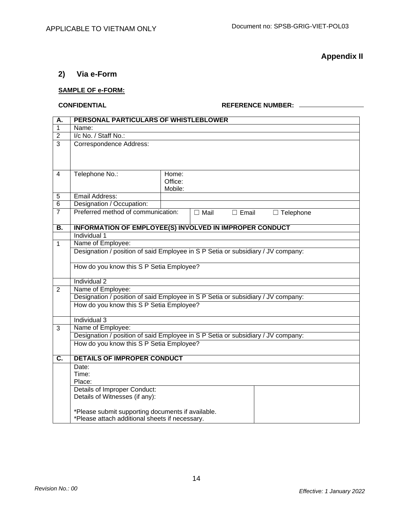**Appendix II**

# **2) Via e-Form**

### **SAMPLE OF e-FORM:**

### **CONFIDENTIAL REFERENCE NUMBER:**

| A.                        | PERSONAL PARTICULARS OF WHISTLEBLOWER                                            |                  |             |              |  |                  |  |
|---------------------------|----------------------------------------------------------------------------------|------------------|-------------|--------------|--|------------------|--|
| $\overline{1}$            | Name:                                                                            |                  |             |              |  |                  |  |
| $\overline{2}$            | I/c No. / Staff No.:                                                             |                  |             |              |  |                  |  |
| $\overline{3}$            | <b>Correspondence Address:</b>                                                   |                  |             |              |  |                  |  |
|                           |                                                                                  |                  |             |              |  |                  |  |
|                           |                                                                                  |                  |             |              |  |                  |  |
|                           |                                                                                  |                  |             |              |  |                  |  |
| 4                         | Telephone No.:                                                                   | Home:<br>Office: |             |              |  |                  |  |
|                           |                                                                                  | Mobile:          |             |              |  |                  |  |
| 5                         | Email Address:                                                                   |                  |             |              |  |                  |  |
| $\overline{6}$            | Designation / Occupation:                                                        |                  |             |              |  |                  |  |
| $\overline{7}$            | Preferred method of communication:                                               |                  | $\Box$ Mail | $\Box$ Email |  | $\Box$ Telephone |  |
|                           |                                                                                  |                  |             |              |  |                  |  |
| B.                        | <b>INFORMATION OF EMPLOYEE(S) INVOLVED IN IMPROPER CONDUCT</b>                   |                  |             |              |  |                  |  |
|                           | Individual 1                                                                     |                  |             |              |  |                  |  |
| $\mathbf{1}$              | Name of Employee:                                                                |                  |             |              |  |                  |  |
|                           | Designation / position of said Employee in S P Setia or subsidiary / JV company: |                  |             |              |  |                  |  |
|                           |                                                                                  |                  |             |              |  |                  |  |
|                           | How do you know this S P Setia Employee?                                         |                  |             |              |  |                  |  |
|                           | Individual 2                                                                     |                  |             |              |  |                  |  |
| $\overline{2}$            | Name of Employee:                                                                |                  |             |              |  |                  |  |
|                           | Designation / position of said Employee in S P Setia or subsidiary / JV company: |                  |             |              |  |                  |  |
|                           | How do you know this S P Setia Employee?                                         |                  |             |              |  |                  |  |
|                           |                                                                                  |                  |             |              |  |                  |  |
|                           | Individual 3                                                                     |                  |             |              |  |                  |  |
| $\overline{3}$            | Name of Employee:                                                                |                  |             |              |  |                  |  |
|                           | Designation / position of said Employee in S P Setia or subsidiary / JV company: |                  |             |              |  |                  |  |
|                           | How do you know this S P Setia Employee?                                         |                  |             |              |  |                  |  |
|                           |                                                                                  |                  |             |              |  |                  |  |
| $\overline{\mathsf{C}}$ . | <b>DETAILS OF IMPROPER CONDUCT</b>                                               |                  |             |              |  |                  |  |
|                           | Date:                                                                            |                  |             |              |  |                  |  |
|                           | Time:                                                                            |                  |             |              |  |                  |  |
|                           | Place:<br>Details of Improper Conduct:                                           |                  |             |              |  |                  |  |
|                           | Details of Witnesses (if any):                                                   |                  |             |              |  |                  |  |
|                           |                                                                                  |                  |             |              |  |                  |  |
|                           | *Please submit supporting documents if available.                                |                  |             |              |  |                  |  |
|                           | *Please attach additional sheets if necessary.                                   |                  |             |              |  |                  |  |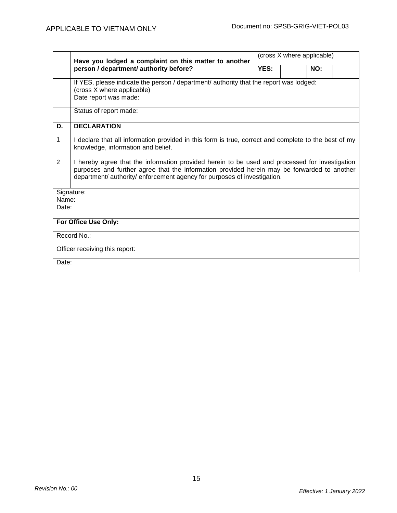|                                | Have you lodged a complaint on this matter to another                                                                                                                                                                                                                     | (cross X where applicable) |  |     |  |  |  |  |  |
|--------------------------------|---------------------------------------------------------------------------------------------------------------------------------------------------------------------------------------------------------------------------------------------------------------------------|----------------------------|--|-----|--|--|--|--|--|
|                                | person / department/ authority before?                                                                                                                                                                                                                                    | YES:                       |  | NO: |  |  |  |  |  |
|                                | If YES, please indicate the person / department/ authority that the report was lodged:<br>(cross X where applicable)                                                                                                                                                      |                            |  |     |  |  |  |  |  |
|                                | Date report was made:                                                                                                                                                                                                                                                     |                            |  |     |  |  |  |  |  |
|                                | Status of report made:                                                                                                                                                                                                                                                    |                            |  |     |  |  |  |  |  |
| D.                             | <b>DECLARATION</b>                                                                                                                                                                                                                                                        |                            |  |     |  |  |  |  |  |
| 1                              | I declare that all information provided in this form is true, correct and complete to the best of my<br>knowledge, information and belief.                                                                                                                                |                            |  |     |  |  |  |  |  |
| $\overline{2}$                 | I hereby agree that the information provided herein to be used and processed for investigation<br>purposes and further agree that the information provided herein may be forwarded to another<br>department/ authority/ enforcement agency for purposes of investigation. |                            |  |     |  |  |  |  |  |
| Name:<br>Date:                 | Signature:                                                                                                                                                                                                                                                                |                            |  |     |  |  |  |  |  |
| For Office Use Only:           |                                                                                                                                                                                                                                                                           |                            |  |     |  |  |  |  |  |
| Record No.:                    |                                                                                                                                                                                                                                                                           |                            |  |     |  |  |  |  |  |
| Officer receiving this report: |                                                                                                                                                                                                                                                                           |                            |  |     |  |  |  |  |  |
|                                | Date:                                                                                                                                                                                                                                                                     |                            |  |     |  |  |  |  |  |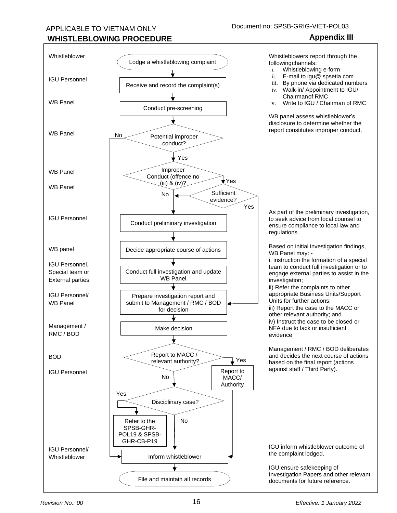# APPLICABLE TO VIETNAM ONLY

# **WHISTLEBLOWING PROCEDURE Appendix III**

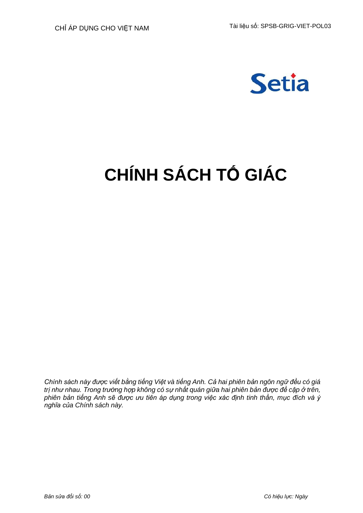

# **CHÍNH SÁCH TỐ GIÁC**

*Chính sách này được viết bằng tiếng Việt và tiếng Anh. Cả hai phiên bản ngôn ngữ đều có giá trị như nhau. Trong trường hợp không có sự nhất quán giữa hai phiên bản được đề cập ở trên, phiên bản tiếng Anh sẽ được ưu tiên áp dụng trong việc xác định tinh thần, mục đích và ý nghĩa của Chính sách này.*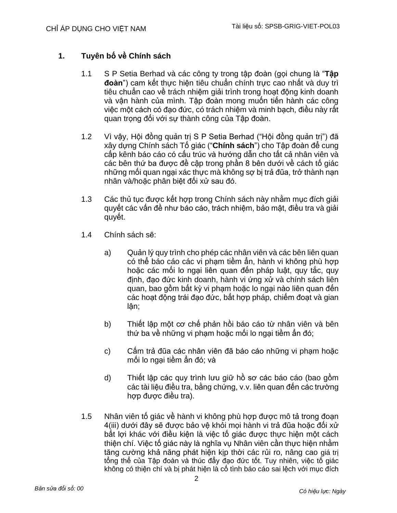# **1. Tuyên bố về Chính sách**

- 1.1 S P Setia Berhad và các công ty trong tập đoàn (gọi chung là "**Tập đoàn**") cam kết thực hiện tiêu chuẩn chính trực cao nhất và duy trì tiêu chuẩn cao về trách nhiệm giải trình trong hoạt động kinh doanh và vận hành của mình. Tập đoàn mong muốn tiến hành các công việc một cách có đạo đức, có trách nhiệm và minh bạch, điều này rất quan trọng đối với sự thành công của Tập đoàn.
- 1.2 Vì vậy, Hội đồng quản trị S P Setia Berhad ("Hội đồng quản trị") đã xây dựng Chính sách Tố giác ("**Chính sách**") cho Tập đoàn để cung cấp kênh báo cáo có cấu trúc và hướng dẫn cho tất cả nhân viên và các bên thứ ba được đề cập trong phần 8 bên dưới về cách tố giác những mối quan ngại xác thực mà không sợ bị trả đũa, trở thành nạn nhân và/hoặc phân biệt đối xử sau đó.
- 1.3 Các thủ tục được kết hợp trong Chính sách này nhằm mục đích giải quyết các vấn đề như báo cáo, trách nhiệm, bảo mật, điều tra và giải quyết.
- 1.4 Chính sách sẽ:
	- a) Quản lý quy trình cho phép các nhân viên và các bên liên quan có thể báo cáo các vi phạm tiềm ẩn, hành vi không phù hợp hoặc các mối lo ngại liên quan đến pháp luật, quy tắc, quy định, đạo đức kinh doanh, hành vi ứng xử và chính sách liên quan, bao gồm bất kỳ vi phạm hoặc lo ngại nào liên quan đến các hoạt động trái đạo đức, bất hợp pháp, chiếm đoạt và gian lận;
	- b) Thiết lập một cơ chế phản hồi báo cáo từ nhân viên và bên thứ ba về những vi phạm hoặc mối lo ngại tiềm ẩn đó;
	- c) Cấm trả đũa các nhân viên đã báo cáo những vi phạm hoặc mối lo ngại tiềm ẩn đó; và
	- d) Thiết lập các quy trình lưu giữ hồ sơ các báo cáo (bao gồm các tài liệu điều tra, bằng chứng, v.v. liên quan đến các trường hợp được điều tra).
- 1.5 Nhân viên tố giác về hành vi không phù hợp được mô tả trong đoạn 4(iii) dưới đây sẽ được bảo vệ khỏi mọi hành vi trả đũa hoặc đối xử bất lợi khác với điều kiện là việc tố giác được thực hiện một cách thiện chí. Việc tố giác này là nghĩa vụ Nhân viên cần thực hiện nhằm tăng cường khả năng phát hiện kịp thời các rủi ro, nâng cao giá trị tổng thể của Tập đoàn và thúc đẩy đạo đức tốt. Tuy nhiên, việc tố giác không có thiện chí và bị phát hiện là cố tình báo cáo sai lệch với mục đích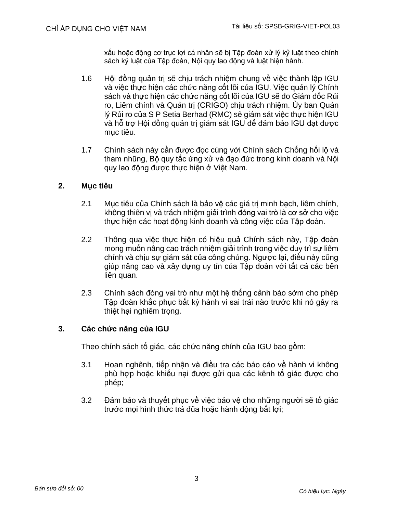xấu hoặc động cơ trục lợi cá nhân sẽ bị Tập đoàn xử lý kỷ luật theo chính sách kỷ luật của Tập đoàn, Nội quy lao động và luật hiện hành.

- 1.6 Hội đồng quản trị sẽ chịu trách nhiệm chung về việc thành lập IGU và việc thực hiện các chức năng cốt lõi của IGU. Việc quản lý Chính sách và thực hiện các chức năng cốt lõi của IGU sẽ do Giám đốc Rủi ro, Liêm chính và Quản trị (CRIGO) chịu trách nhiệm. Ủy ban Quản lý Rủi ro của S P Setia Berhad (RMC) sẽ giám sát việc thực hiện IGU và hỗ trợ Hội đồng quản trị giám sát IGU để đảm bảo IGU đạt được mục tiêu.
- 1.7 Chính sách này cần được đọc cùng với Chính sách Chống hối lộ và tham nhũng, Bộ quy tắc ứng xử và đạo đức trong kinh doanh và Nội quy lao động được thực hiện ở Việt Nam.

# **2. Mục tiêu**

- 2.1 Mục tiêu của Chính sách là bảo vệ các giá trị minh bạch, liêm chính, không thiên vị và trách nhiệm giải trình đóng vai trò là cơ sở cho việc thực hiện các hoạt động kinh doanh và công việc của Tập đoàn.
- 2.2 Thông qua việc thực hiện có hiệu quả Chính sách này, Tập đoàn mong muốn nâng cao trách nhiệm giải trình trong việc duy trì sự liêm chính và chịu sự giám sát của công chúng. Ngược lại, điều này cũng giúp nâng cao và xây dựng uy tín của Tập đoàn với tất cả các bên liên quan.
- 2.3 Chính sách đóng vai trò như một hệ thống cảnh báo sớm cho phép Tập đoàn khắc phục bất kỳ hành vi sai trái nào trước khi nó gây ra thiệt hại nghiệm trong.

# **3. Các chức năng của IGU**

Theo chính sách tố giác, các chức năng chính của IGU bao gồm:

- 3.1 Hoan nghênh, tiếp nhận và điều tra các báo cáo về hành vi không phù hợp hoặc khiếu nại được gửi qua các kênh tố giác được cho phép;
- 3.2 Đảm bảo và thuyết phục về việc bảo vệ cho những người sẽ tố giác trước mọi hình thức trả đũa hoặc hành động bất lợi;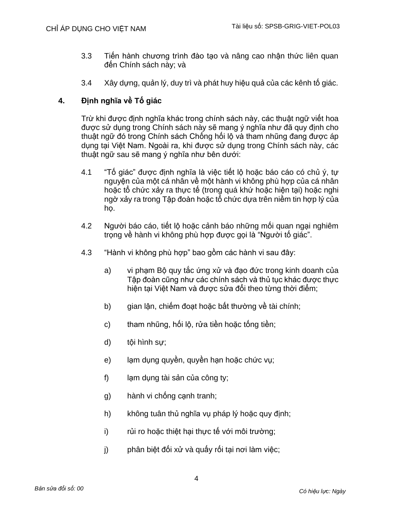- 3.3 Tiến hành chương trình đào tạo và nâng cao nhận thức liên quan đến Chính sách này; và
- 3.4 Xây dựng, quản lý, duy trì và phát huy hiệu quả của các kênh tố giác.

# **4. Định nghĩa về Tố giác**

Trừ khi được định nghĩa khác trong chính sách này, các thuật ngữ viết hoa được sử dụng trong Chính sách này sẽ mang ý nghĩa như đã quy định cho thuật ngữ đó trong Chính sách Chống hối lộ và tham nhũng đang được áp dụng tại Việt Nam. Ngoài ra, khi được sử dụng trong Chính sách này, các thuật ngữ sau sẽ mang ý nghĩa như bên dưới:

- 4.1 "Tố giác" được định nghĩa là việc tiết lộ hoặc báo cáo có chủ ý, tự nguyện của một cá nhân về một hành vi không phù hợp của cá nhân hoặc tổ chức xảy ra thực tế (trong quá khứ hoặc hiện tại) hoặc nghi ngờ xảy ra trong Tập đoàn hoặc tổ chức dựa trên niềm tin hợp lý của họ.
- 4.2 Người báo cáo, tiết lộ hoặc cảnh báo những mối quan ngại nghiêm trọng về hành vi không phù hợp được gọi là "Người tố giác".
- 4.3 "Hành vi không phù hợp" bao gồm các hành vi sau đây:
	- a) vi phạm Bộ quy tắc ứng xử và đạo đức trong kinh doanh của Tập đoàn cũng như các chính sách và thủ tục khác được thực hiện tại Việt Nam và được sửa đổi theo từng thời điểm;
	- b) gian lận, chiếm đoạt hoặc bất thường về tài chính;
	- c) tham nhũng, hối lô, rửa tiền hoặc tống tiền;
	- d) tội hình sự;
	- e) lạm dụng quyền, quyền hạn hoặc chức vụ;
	- f) lạm dụng tài sản của công ty;
	- g) hành vi chống cạnh tranh;
	- h) không tuân thủ nghĩa vu pháp lý hoặc quy định;
	- i) rủi ro hoặc thiệt hại thực tế với môi trường;
	- j) phân biệt đối xử và quấy rối tại nơi làm việc;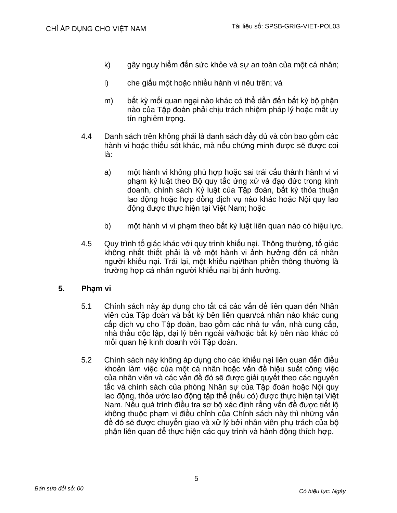- k) gây nguy hiểm đến sức khỏe và sự an toàn của một cá nhân;
- l) che giấu một hoặc nhiều hành vi nêu trên; và
- m) bất kỳ mối quan ngại nào khác có thể dẫn đến bất kỳ bộ phận nào của Tập đoàn phải chịu trách nhiệm pháp lý hoặc mất uy tín nghiêm trọng.
- 4.4 Danh sách trên không phải là danh sách đầy đủ và còn bao gồm các hành vi hoặc thiếu sót khác, mà nếu chứng minh được sẽ được coi là:
	- a) một hành vi không phù hợp hoặc sai trái cấu thành hành vi vi phạm kỷ luật theo Bộ quy tắc ứng xử và đạo đức trong kinh doanh, chính sách Kỷ luật của Tập đoàn, bất kỳ thỏa thuận lao động hoặc hợp đồng dịch vụ nào khác hoặc Nội quy lao động được thực hiện tại Việt Nam; hoặc
	- b) một hành vi vi phạm theo bất kỳ luật liên quan nào có hiệu lực.
- 4.5 Quy trình tố giác khác với quy trình khiếu nại. Thông thường, tố giác không nhất thiết phải là về một hành vi ảnh hưởng đến cá nhân người khiếu nại. Trái lại, một khiếu nại/than phiền thông thường là trường hợp cá nhân người khiếu nại bị ảnh hưởng.

# **5. Phạm vi**

- 5.1 Chính sách này áp dụng cho tất cả các vấn đề liên quan đến Nhân viên của Tập đoàn và bất kỳ bên liên quan/cá nhân nào khác cung cấp dịch vụ cho Tập đoàn, bao gồm các nhà tư vấn, nhà cung cấp, nhà thầu độc lập, đại lý bên ngoài và/hoặc bất kỳ bên nào khác có mối quan hệ kinh doanh với Tập đoàn.
- 5.2 Chính sách này không áp dụng cho các khiếu nại liên quan đến điều khoản làm việc của một cá nhân hoặc vấn đề hiệu suất công việc của nhân viên và các vấn đề đó sẽ được giải quyết theo các nguyên tắc và chính sách của phòng Nhân sự của Tập đoàn hoặc Nội quy lao động, thỏa ước lao động tập thể (nếu có) được thực hiện tại Việt Nam. Nếu quá trình điều tra sơ bộ xác định rằng vấn đề được tiết lộ không thuộc phạm vi điều chỉnh của Chính sách này thì những vấn đề đó sẽ được chuyển giao và xử lý bởi nhân viên phụ trách của bộ phận liên quan để thực hiện các quy trình và hành động thích hợp.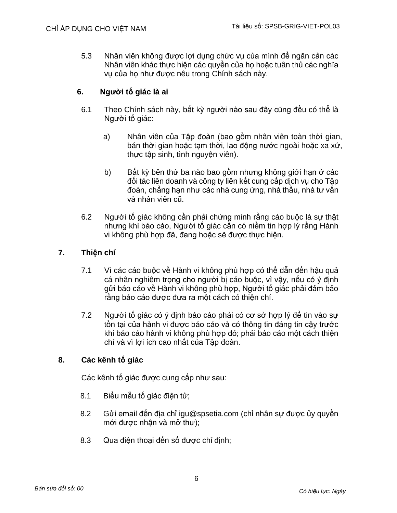5.3 Nhân viên không được lợi dụng chức vụ của mình để ngăn cản các Nhân viên khác thực hiện các quyền của họ hoặc tuân thủ các nghĩa vụ của họ như được nêu trong Chính sách này.

# **6. Người tố giác là ai**

- 6.1 Theo Chính sách này, bất kỳ người nào sau đây cũng đều có thể là Người tố giác:
	- a) Nhân viên của Tập đoàn (bao gồm nhân viên toàn thời gian, bán thời gian hoặc tạm thời, lao động nước ngoài hoặc xa xứ, thực tập sinh, tình nguyện viên).
	- b) Bất kỳ bên thứ ba nào bao gồm nhưng không giới hạn ở các đối tác liên doanh và công ty liên kết cung cấp dịch vụ cho Tập đoàn, chẳng hạn như các nhà cung ứng, nhà thầu, nhà tư vấn và nhân viên cũ.
- 6.2 Người tố giác không cần phải chứng minh rằng cáo buộc là sự thật nhưng khi báo cáo, Người tố giác cần có niềm tin hợp lý rằng Hành vi không phù hợp đã, đang hoặc sẽ được thực hiện.

# **7. Thiện chí**

- 7.1 Vì các cáo buộc về Hành vi không phù hợp có thể dẫn đến hậu quả cá nhân nghiêm trong cho người bị cáo buộc, vì vậy, nếu có ý định gửi báo cáo về Hành vi không phù hợp, Người tố giác phải đảm bảo rằng báo cáo được đưa ra một cách có thiện chí.
- 7.2 Người tố giác có ý định báo cáo phải có cơ sở hợp lý để tin vào sự tồn tại của hành vi được báo cáo và có thông tin đáng tin cậy trước khi báo cáo hành vi không phù hợp đó; phải báo cáo một cách thiện chí và vì lợi ích cao nhất của Tập đoàn.

# **8. Các kênh tố giác**

Các kênh tố giác được cung cấp như sau:

- 8.1 Biểu mẫu tố giác điện tử;
- 8.2 Gửi email đến địa chỉ [igu@spsetia.com](mailto:igu@spsetia.com) (chỉ nhân sư được ủy quyền mới được nhận và mở thư);
- 8.3 Qua điện thoại đến số được chỉ định;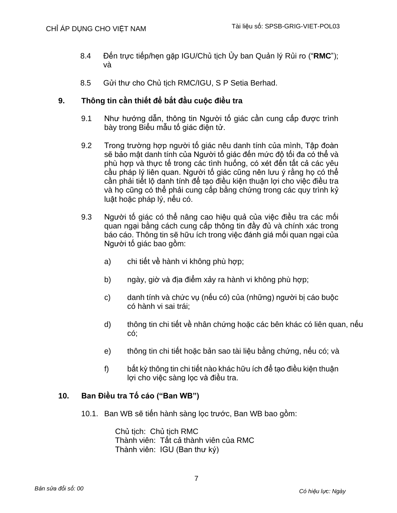- 8.4 Đến trực tiếp/hẹn gặp IGU/Chủ tịch Ủy ban Quản lý Rủi ro ("**RMC**"); và
- 8.5 Gửi thư cho Chủ tịch RMC/IGU, S P Setia Berhad.

# **9. Thông tin cần thiết để bắt đầu cuộc điều tra**

- 9.1 Như hướng dẫn, thông tin Người tố giác cần cung cấp được trình bày trong Biểu mẫu tố giác điện tử.
- 9.2 Trong trường hợp người tố giác nêu danh tính của mình, Tập đoàn sẽ bảo mật danh tính của Người tố giác đến mức độ tối đa có thể và phù hợp và thực tế trong các tình huống, có xét đến tất cả các yêu cầu pháp lý liên quan. Người tố giác cũng nên lưu ý rằng họ có thể cần phải tiết lộ danh tính để tạo điều kiện thuận lợi cho việc điều tra và họ cũng có thể phải cung cấp bằng chứng trong các quy trình kỷ luật hoặc pháp lý, nếu có.
- 9.3 Người tố giác có thể nâng cao hiệu quả của việc điều tra các mối quan ngại bằng cách cung cấp thông tin đầy đủ và chính xác trong báo cáo. Thông tin sẽ hữu ích trong việc đánh giá mối quan ngại của Người tố giác bao gồm:
	- a) chi tiết về hành vi không phù hợp;
	- b) ngày, giờ và địa điểm xảy ra hành vi không phù hợp;
	- c) danh tính và chức vụ (nếu có) của (những) người bị cáo buộc có hành vi sai trái;
	- d) thông tin chi tiết về nhân chứng hoặc các bên khác có liên quan, nếu có;
	- e) thông tin chi tiết hoặc bản sao tài liệu bằng chứng, nếu có; và
	- f) bất kỳ thông tin chi tiết nào khác hữu ích để tạo điều kiện thuận lợi cho việc sàng lọc và điều tra.

# **10. Ban Điều tra Tố cáo ("Ban WB")**

10.1. Ban WB sẽ tiến hành sàng lọc trước, Ban WB bao gồm:

Chủ tịch: Chủ tịch RMC Thành viên: Tất cả thành viên của RMC Thành viên: IGU (Ban thư ký)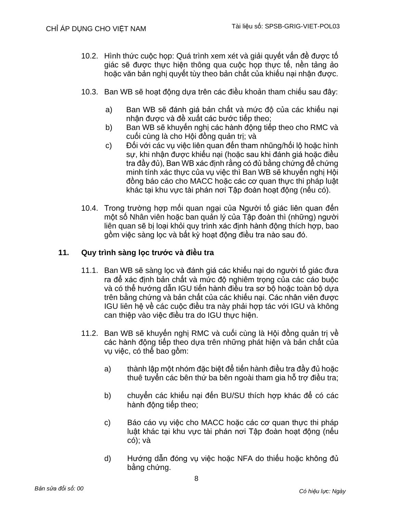- 10.2. Hình thức cuộc họp: Quá trình xem xét và giải quyết vấn đề được tố giác sẽ được thực hiện thông qua cuộc họp thực tế, nền tảng ảo hoặc văn bản nghị quyết tùy theo bản chất của khiếu nại nhận được.
- 10.3. Ban WB sẽ hoạt động dựa trên các điều khoản tham chiếu sau đây:
	- a) Ban WB sẽ đánh giá bản chất và mức độ của các khiếu nại nhận được và đề xuất các bước tiếp theo;
	- b) Ban WB sẽ khuyến nghị các hành đông tiếp theo cho RMC và cuối cùng là cho Hội đồng quản trị; và
	- c) Đối với các vụ việc liên quan đến tham nhũng/hối lộ hoặc hình sự, khi nhận được khiếu nại (hoặc sau khi đánh giá hoặc điều tra đầy đủ), Ban WB xác định rằng có đủ bằng chứng để chứng minh tính xác thực của vụ việc thì Ban WB sẽ khuyến nghị Hội đồng báo cáo cho MACC hoặc các cơ quan thực thi pháp luật khác tại khu vực tài phán nơi Tập đoàn hoạt động (nếu có).
- 10.4. Trong trường hợp mối quan ngại của Người tố giác liên quan đến một số Nhân viên hoặc ban quản lý của Tập đoàn thì (những) người liên quan sẽ bị loại khỏi quy trình xác định hành đông thích hợp, bao gồm việc sàng lọc và bất kỳ hoạt động điều tra nào sau đó.

# **11. Quy trình sàng lọc trước và điều tra**

- 11.1. Ban WB sẽ sàng lọc và đánh giá các khiếu nại do người tố giác đưa ra để xác định bản chất và mức đô nghiêm trong của các cáo buộc và có thể hướng dẫn IGU tiến hành điều tra sơ bộ hoặc toàn bộ dựa trên bằng chứng và bản chất của các khiếu nại. Các nhân viên được IGU liên hệ về các cuộc điều tra này phải hợp tác với IGU và không can thiệp vào việc điều tra do IGU thực hiện.
- 11.2. Ban WB sẽ khuyến nghị RMC và cuối cùng là Hội đồng quản trị về các hành động tiếp theo dựa trên những phát hiện và bản chất của vụ việc, có thể bao gồm:
	- a) thành lập một nhóm đặc biệt để tiến hành điều tra đầy đủ hoặc thuê tuyển các bên thứ ba bên ngoài tham gia hỗ trợ điều tra;
	- b) chuyển các khiếu nại đến BU/SU thích hợp khác để có các hành động tiếp theo;
	- c) Báo cáo vụ việc cho MACC hoặc các cơ quan thực thi pháp luật khác tại khu vực tài phán nơi Tập đoàn hoạt động (nếu có); và
	- d) Hướng dẫn đóng vụ việc hoặc NFA do thiếu hoặc không đủ bằng chứng.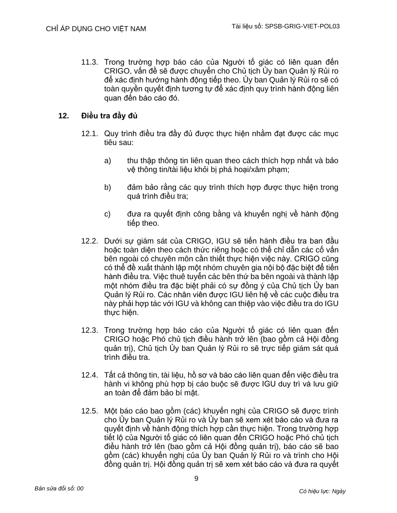11.3. Trong trường hợp báo cáo của Người tố giác có liên quan đến CRIGO, vấn đề sẽ được chuyển cho Chủ tịch Ủy ban Quản lý Rủi ro để xác định hướng hành động tiếp theo. Ủy ban Quản lý Rủi ro sẽ có toàn quyền quyết định tương tự để xác định quy trình hành động liên quan đến báo cáo đó.

# **12. Điều tra đầy đủ**

- 12.1. Quy trình điều tra đầy đủ được thực hiện nhằm đạt được các mục tiêu sau:
	- a) thu thập thông tin liên quan theo cách thích hợp nhất và bảo vệ thông tin/tài liệu khỏi bị phá hoại/xâm phạm;
	- b) đảm bảo rằng các quy trình thích hợp được thực hiện trong quá trình điều tra;
	- c) đưa ra quyết định công bằng và khuyến nghị về hành đông tiếp theo.
- 12.2. Dưới sự giám sát của CRIGO, IGU sẽ tiến hành điều tra ban đầu hoặc toàn diện theo cách thức riêng hoặc có thể chỉ dẫn các cố vấn bên ngoài có chuyên môn cần thiết thực hiện việc này. CRIGO cũng có thể đề xuất thành lập một nhóm chuyên gia nội bộ đặc biệt để tiến hành điều tra. Việc thuê tuyển các bên thứ ba bên ngoài và thành lập một nhóm điều tra đặc biệt phải có sự đồng ý của Chủ tịch Ủy ban Quản lý Rủi ro. Các nhân viên được IGU liên hệ về các cuộc điều tra này phải hợp tác với IGU và không can thiệp vào việc điều tra do IGU thực hiện.
- 12.3. Trong trường hợp báo cáo của Người tố giác có liên quan đến CRIGO hoặc Phó chủ tịch điều hành trở lên (bao gồm cả Hội đồng quản trị), Chủ tịch Ủy ban Quản lý Rủi ro sẽ trực tiếp giám sát quá trình điều tra.
- 12.4. Tất cả thông tin, tài liệu, hồ sơ và báo cáo liên quan đến việc điều tra hành vi không phù hợp bị cáo buộc sẽ được IGU duy trì và lưu giữ an toàn để đảm bảo bí mật.
- 12.5. Một báo cáo bao gồm (các) khuyến nghị của CRIGO sẽ được trình cho Ủy ban Quản lý Rủi ro và Ủy ban sẽ xem xét báo cáo và đưa ra quyết định về hành động thích hợp cần thực hiện. Trong trường hợp tiết lộ của Người tố giác có liên quan đến CRIGO hoặc Phó chủ tịch điều hành trở lên (bao gồm cả Hội đồng quản trị), báo cáo sẽ bao gồm (các) khuyến nghị của Ủy ban Quản lý Rủi ro và trình cho Hội đồng quản trị. Hội đồng quản trị sẽ xem xét báo cáo và đưa ra quyết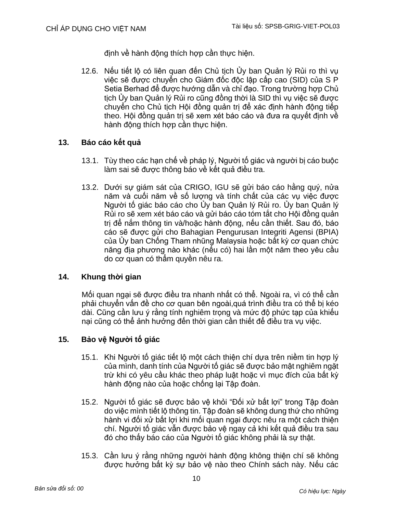định về hành động thích hợp cần thực hiện.

12.6. Nếu tiết lộ có liên quan đến Chủ tịch Ủy ban Quản lý Rủi ro thì vụ việc sẽ được chuyển cho Giám đốc độc lập cấp cao (SID) của S P Setia Berhad để được hướng dẫn và chỉ đạo. Trong trường hợp Chủ tịch Ủy ban Quản lý Rủi ro cũng đồng thời là SID thì vụ việc sẽ được chuyển cho Chủ tịch Hội đồng quản trị để xác định hành động tiếp theo. Hội đồng quản trị sẽ xem xét báo cáo và đưa ra quyết định về hành động thích hợp cần thực hiện.

# **13. Báo cáo kết quả**

- 13.1. Tùy theo các hạn chế về pháp lý, Người tố giác và người bị cáo buộc làm sai sẽ được thông báo về kết quả điều tra.
- 13.2. Dưới sự giám sát của CRIGO, IGU sẽ gửi báo cáo hằng quý, nửa năm và cuối năm về số lượng và tính chất của các vụ việc được Người tố giác báo cáo cho Ủy ban Quản lý Rủi ro. Ủy ban Quản lý Rủi ro sẽ xem xét báo cáo và gửi báo cáo tóm tắt cho Hội đồng quản trị để nắm thông tin và/hoặc hành động, nếu cần thiết. Sau đó, báo cáo sẽ được gửi cho Bahagian Pengurusan Integriti Agensi (BPIA) của Ủy ban Chống Tham nhũng Malaysia hoặc bất kỳ cơ quan chức năng địa phương nào khác (nếu có) hai lần một năm theo yêu cầu do cơ quan có thẩm quyền nêu ra.

# **14. Khung thời gian**

Mối quan ngại sẽ được điều tra nhanh nhất có thể. Ngoài ra, vì có thể cần phải chuyển vấn đề cho cơ quan bên ngoài,quá trình điều tra có thể bị kéo dài. Cũng cần lưu ý rằng tính nghiêm trọng và mức độ phức tạp của khiếu nại cũng có thể ảnh hưởng đến thời gian cần thiết để điều tra vụ việc.

# **15. Bảo vệ Người tố giác**

- 15.1. Khi Người tố giác tiết lộ một cách thiện chí dựa trên niềm tin hợp lý của mình, danh tính của Người tố giác sẽ được bảo mật nghiêm ngặt trừ khi có yêu cầu khác theo pháp luật hoặc vì mục đích của bất kỳ hành động nào của hoặc chống lại Tập đoàn.
- 15.2. Người tố giác sẽ được bảo vệ khỏi "Đối xử bất lợi" trong Tập đoàn do việc mình tiết lộ thông tin. Tập đoàn sẽ không dung thứ cho những hành vi đối xử bất lợi khi mối quan ngại được nêu ra một cách thiện chí. Người tố giác vẫn được bảo vệ ngay cả khi kết quả điều tra sau đó cho thấy báo cáo của Người tố giác không phải là sự thật.
- 15.3. Cần lưu ý rằng những người hành động không thiện chí sẽ không được hưởng bất kỳ sự bảo vệ nào theo Chính sách này. Nếu các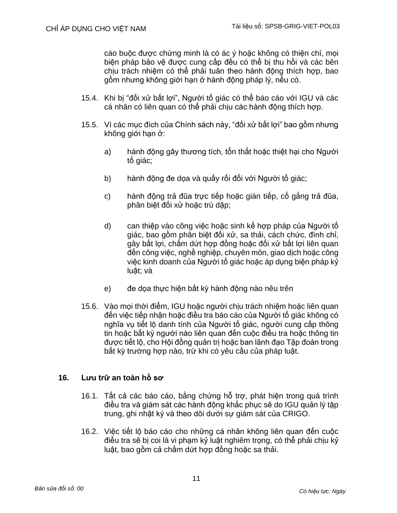cáo buộc được chứng minh là có ác ý hoặc không có thiện chí, mọi biện pháp bảo vệ được cung cấp đều có thể bị thu hồi và các bên chịu trách nhiệm có thể phải tuân theo hành động thích hợp, bao gồm nhưng không giới hạn ở hành động pháp lý, nếu có.

- 15.4. Khi bị "đối xử bất lợi", Người tố giác có thể báo cáo với IGU và các cá nhân có liên quan có thể phải chịu các hành động thích hợp.
- 15.5. Vì các mục đích của Chính sách này, "đối xử bất lợi" bao gồm nhưng không giới hạn ở:
	- a) hành động gây thương tích, tổn thất hoặc thiệt hại cho Người tố giác;
	- b) hành động đe dọa và quấy rối đối với Người tố giác;
	- c) hành động trả đũa trực tiếp hoặc gián tiếp, cố gắng trả đũa, phân biệt đối xử hoặc trù dập;
	- d) can thiệp vào công việc hoặc sinh kế hợp pháp của Người tố giác, bao gồm phân biệt đối xử, sa thải, cách chức, đình chỉ, gây bất lợi, chấm dứt hợp đồng hoặc đối xử bất lợi liên quan đến công việc, nghề nghiệp, chuyên môn, giao dịch hoặc công việc kinh doanh của Người tố giác hoặc áp dụng biện pháp kỷ luật; và
	- e) đe dọa thực hiện bất kỳ hành động nào nêu trên
- 15.6. Vào mọi thời điểm, IGU hoặc người chịu trách nhiệm hoặc liên quan đến việc tiếp nhận hoặc điều tra báo cáo của Người tố giác không có nghĩa vụ tiết lộ danh tính của Người tố giác, người cung cấp thông tin hoặc bất kỳ người nào liên quan đến cuộc điều tra hoặc thông tin được tiết lộ, cho Hội đồng quản trị hoặc ban lãnh đạo Tập đoàn trong bất kỳ trường hợp nào, trừ khi có yêu cầu của pháp luật.

# **16. Lưu trữ an toàn hồ sơ**

- 16.1. Tất cả các báo cáo, bằng chứng hỗ trợ, phát hiện trong quá trình điều tra và giám sát các hành động khắc phục sẽ do IGU quản lý tập trung, ghi nhật ký và theo dõi dưới sự giám sát của CRIGO.
- 16.2. Việc tiết lộ báo cáo cho những cá nhân không liên quan đến cuộc điều tra sẽ bị coi là vi phạm kỷ luật nghiêm trọng, có thể phải chịu kỷ luật, bao gồm cả chấm dứt hợp đồng hoặc sa thải.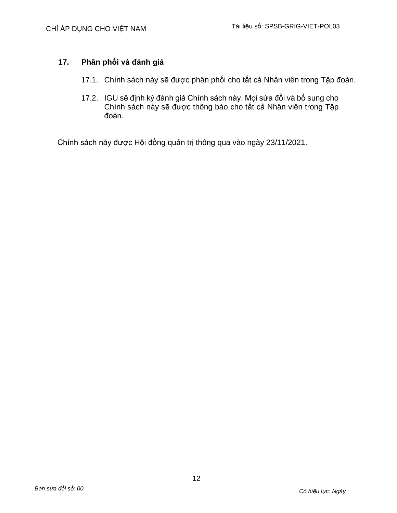# **17. Phân phối và đánh giá**

- 17.1. Chính sách này sẽ được phân phối cho tất cả Nhân viên trong Tập đoàn.
- 17.2. IGU sẽ định kỳ đánh giá Chính sách này. Mọi sửa đổi và bổ sung cho Chính sách này sẽ được thông báo cho tất cả Nhân viên trong Tập đoàn.

Chính sách này được Hội đồng quản trị thông qua vào ngày 23/11/2021.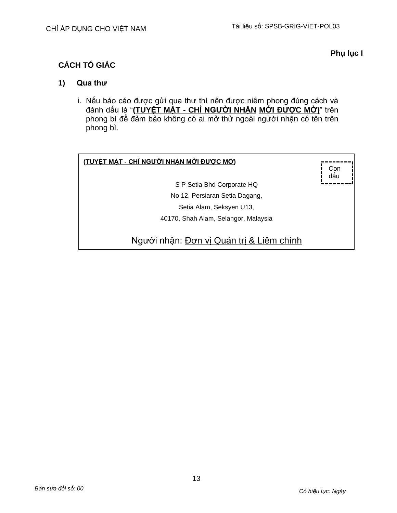# **Phụ lục I**

# **CÁCH TỐ GIÁC**

# **1) Qua thư**

i. Nếu báo cáo được gửi qua thư thì nên được niêm phong đúng cách và đánh dấu là "**(TUYỆT MẬT - CHỈ NGƯỜI NHẬN MỚI ĐƯỢC MỞ)**" trên phong bì để đảm bảo không có ai mở thử ngoài người nhận có tên trên phong bì.

| (TUYỆT MẬT - CHỈ NGƯỜI NHẬN MỚI ĐƯỢC MỞ) | Con<br>dâı |
|------------------------------------------|------------|
| S P Setia Bhd Corporate HQ               |            |
| No 12, Persiaran Setia Dagang,           |            |
| Setia Alam, Seksyen U13,                 |            |
| 40170, Shah Alam, Selangor, Malaysia     |            |
| Người nhận: Đơn vị Quản trị & Liêm chính |            |

13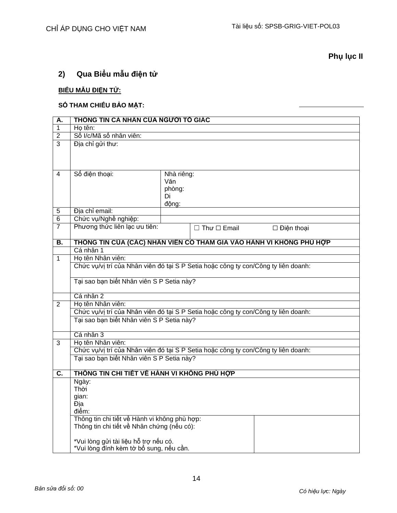**Phụ lục II**

# **2) Qua Biểu mẫu điện tử**

# **BIỂU MẪU ĐIỆN TỬ:**

# **SỐ THAM CHIẾU BẢO MẬT:**

| Α.             | THỐNG TIN CÁ NHÂN CỦA NGƯỜI TỔ GIÁC                                                |               |                         |                   |  |  |
|----------------|------------------------------------------------------------------------------------|---------------|-------------------------|-------------------|--|--|
| $\overline{1}$ | Ho tên:                                                                            |               |                         |                   |  |  |
| 2              | Số I/c/Mã số nhân viên:                                                            |               |                         |                   |  |  |
| 3              | Địa chỉ gửi thư:                                                                   |               |                         |                   |  |  |
|                |                                                                                    |               |                         |                   |  |  |
|                |                                                                                    |               |                         |                   |  |  |
|                |                                                                                    |               |                         |                   |  |  |
| 4              | Số điện thoại:                                                                     | Nhà riêng:    |                         |                   |  |  |
|                |                                                                                    | Văn<br>phòng: |                         |                   |  |  |
|                |                                                                                    | Di            |                         |                   |  |  |
|                |                                                                                    | động:         |                         |                   |  |  |
| $\overline{5}$ | Đia chỉ email:                                                                     |               |                         |                   |  |  |
| 6              | Chức vụ/Nghề nghiệp:                                                               |               |                         |                   |  |  |
| $\overline{7}$ | Phương thức liên lạc ưu tiên:                                                      |               | $\Box$ Thư $\Box$ Email | $\Box$ Điện thoại |  |  |
|                |                                                                                    |               |                         |                   |  |  |
| В.             | THỐNG TIN CỦA (CÁC) NHÂN VIÊN CÓ THAM GIA VÀO HÀNH VI KHÔNG PHỦ HỢP                |               |                         |                   |  |  |
|                | Cá nhân 1                                                                          |               |                         |                   |  |  |
| 1              | Họ tên Nhân viên:                                                                  |               |                         |                   |  |  |
|                | Chức vụ/vị trí của Nhân viên đó tại S P Setia hoặc công ty con/Công ty liên doanh: |               |                         |                   |  |  |
|                | Tại sao bạn biết Nhân viên S P Setia này?                                          |               |                         |                   |  |  |
|                |                                                                                    |               |                         |                   |  |  |
|                | Cá nhân 2                                                                          |               |                         |                   |  |  |
| $\overline{2}$ | Họ tên Nhân viên:                                                                  |               |                         |                   |  |  |
|                | Chức vụ/vị trí của Nhân viên đó tại S P Setia hoặc công ty con/Công ty liên doanh: |               |                         |                   |  |  |
|                | Tại sao bạn biết Nhân viên S P Setia này?                                          |               |                         |                   |  |  |
|                |                                                                                    |               |                         |                   |  |  |
|                | Cá nhân 3                                                                          |               |                         |                   |  |  |
| 3              | Ho tên Nhân viên:                                                                  |               |                         |                   |  |  |
|                | Chức vụ/vị trí của Nhân viên đó tại S P Setia hoặc công ty con/Công ty liên doanh: |               |                         |                   |  |  |
|                | Tại sao bạn biết Nhân viên S P Setia này?                                          |               |                         |                   |  |  |
| C.             | THỐNG TIN CHI TIẾT VỀ HÀNH VI KHỐNG PHỦ HỚP                                        |               |                         |                   |  |  |
|                | Ngày:                                                                              |               |                         |                   |  |  |
|                | Thời                                                                               |               |                         |                   |  |  |
|                | gian:                                                                              |               |                         |                   |  |  |
|                | Đia                                                                                |               |                         |                   |  |  |
|                | điểm:                                                                              |               |                         |                   |  |  |
|                | Thông tin chi tiết về Hành vi không phù hợp:                                       |               |                         |                   |  |  |
|                | Thông tin chi tiết về Nhân chứng (nếu có):                                         |               |                         |                   |  |  |
|                | *Vui lòng gửi tài liệu hỗ trợ nếu có.                                              |               |                         |                   |  |  |
|                | *Vui lòng đính kèm tờ bổ sung, nếu cần.                                            |               |                         |                   |  |  |
|                |                                                                                    |               |                         |                   |  |  |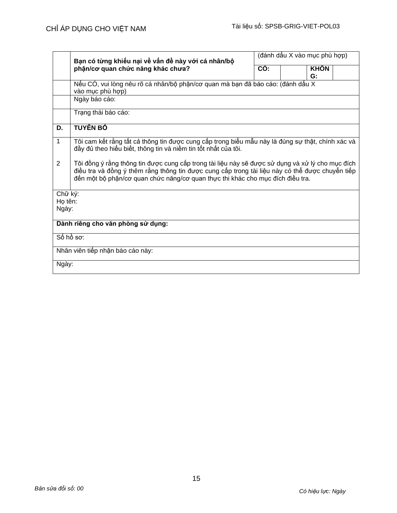|                                   | Bạn có từng khiếu nại về vấn đề này với cá nhân/bộ                                                                                                                                                                                                                                    | (đánh dấu X vào mục phù hợp) |  |                   |  |  |  |  |  |
|-----------------------------------|---------------------------------------------------------------------------------------------------------------------------------------------------------------------------------------------------------------------------------------------------------------------------------------|------------------------------|--|-------------------|--|--|--|--|--|
|                                   | phận/cơ quan chức năng khác chưa?                                                                                                                                                                                                                                                     | $\overline{CO}$ :            |  | <b>KHÔN</b><br>G: |  |  |  |  |  |
|                                   | Nếu CÓ, vui lòng nêu rõ cá nhân/bộ phận/cơ quan mà bạn đã báo cáo: (đánh dấu X<br>vào mục phù hợp)                                                                                                                                                                                    |                              |  |                   |  |  |  |  |  |
|                                   | Ngày báo cáo:                                                                                                                                                                                                                                                                         |                              |  |                   |  |  |  |  |  |
|                                   | Trạng thái báo cáo:                                                                                                                                                                                                                                                                   |                              |  |                   |  |  |  |  |  |
| D.                                | <b>TUYẾN BỐ</b>                                                                                                                                                                                                                                                                       |                              |  |                   |  |  |  |  |  |
| 1                                 | Tôi cam kết rằng tất cả thông tin được cung cấp trong biểu mẫu này là đúng sự thật, chính xác và<br>đầy đủ theo hiểu biết, thông tin và niềm tin tốt nhất của tôi.                                                                                                                    |                              |  |                   |  |  |  |  |  |
| 2                                 | Tôi đồng ý rằng thông tin được cung cấp trong tài liệu này sẽ được sử dụng và xử lý cho mục đích<br>điều tra và đồng ý thêm rằng thông tin được cung cấp trong tài liệu này có thể được chuyển tiếp<br>đến một bộ phận/cơ quan chức năng/cơ quan thực thi khác cho mục đích điều tra. |                              |  |                   |  |  |  |  |  |
| Chữ ký:<br>Họ tên:                |                                                                                                                                                                                                                                                                                       |                              |  |                   |  |  |  |  |  |
| Ngày:                             |                                                                                                                                                                                                                                                                                       |                              |  |                   |  |  |  |  |  |
| Dành riêng cho văn phòng sử dụng: |                                                                                                                                                                                                                                                                                       |                              |  |                   |  |  |  |  |  |
| Số hồ sơ:                         |                                                                                                                                                                                                                                                                                       |                              |  |                   |  |  |  |  |  |
| Nhân viên tiếp nhận báo cáo này:  |                                                                                                                                                                                                                                                                                       |                              |  |                   |  |  |  |  |  |
| Ngày:                             |                                                                                                                                                                                                                                                                                       |                              |  |                   |  |  |  |  |  |